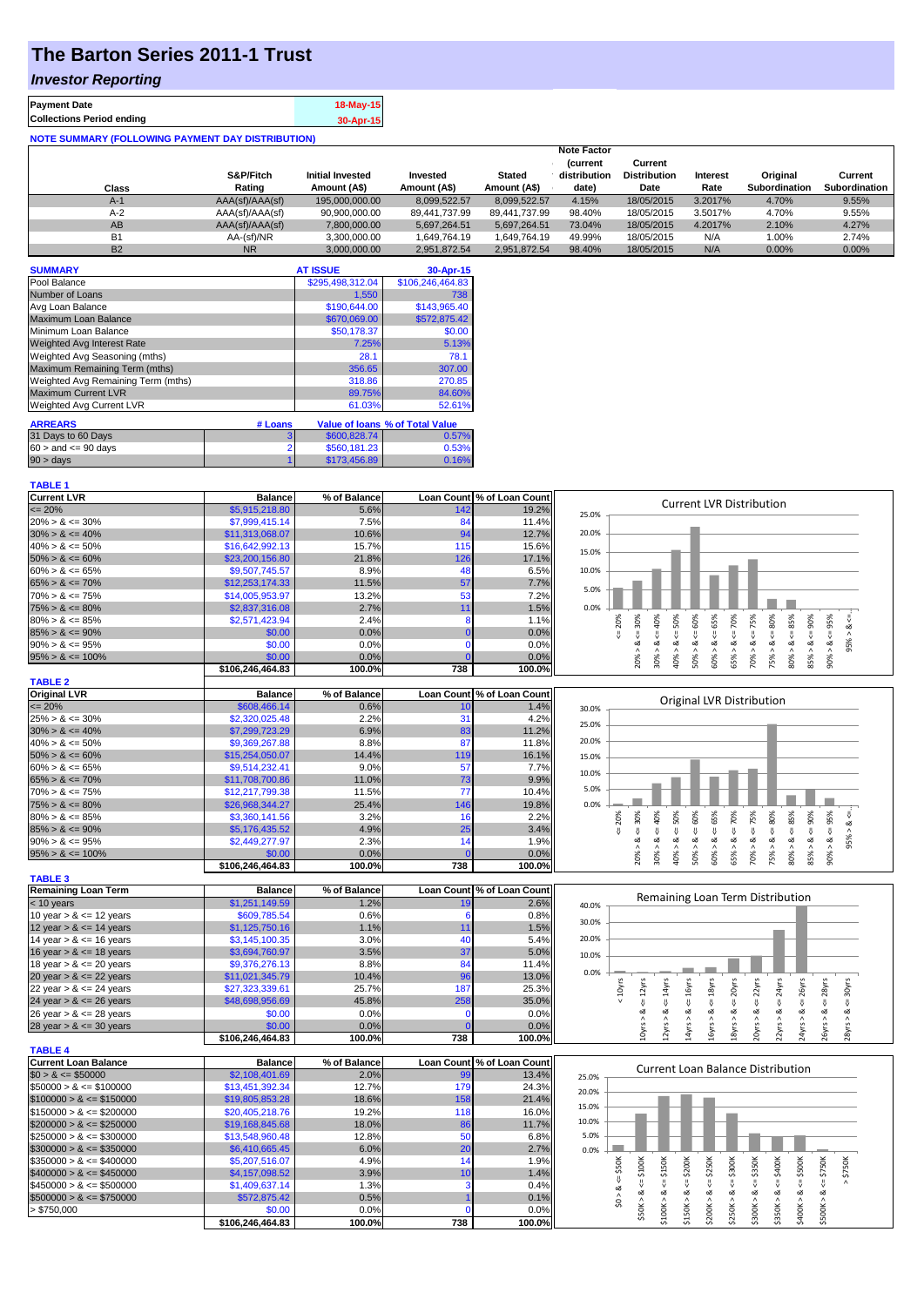# **The Barton Series 2011-1 Trust**

## *Investor Reporting*

| <b>Payment Date</b>              | 18-May-15 |
|----------------------------------|-----------|
| <b>Collections Period ending</b> | 30-Apr-15 |
|                                  |           |

| <b>NOTE SUMMARY (FOLLOWING PAYMENT DAY DISTRIBUTION)</b> |                 |                         |               |               |                    |                     |          |                      |                      |
|----------------------------------------------------------|-----------------|-------------------------|---------------|---------------|--------------------|---------------------|----------|----------------------|----------------------|
|                                                          |                 |                         |               |               | <b>Note Factor</b> |                     |          |                      |                      |
|                                                          |                 |                         |               |               | <b>Current</b>     | Current             |          |                      |                      |
|                                                          | S&P/Fitch       | <b>Initial Invested</b> | Invested      | <b>Stated</b> | distribution       | <b>Distribution</b> | Interest | Original             | Current              |
| <b>Class</b>                                             | Rating          | Amount (A\$)            | Amount (A\$)  | Amount (A\$)  | date)              | Date                | Rate     | <b>Subordination</b> | <b>Subordination</b> |
| $A-1$                                                    | AAA(sf)/AAA(sf) | 195,000,000.00          | 8,099,522.57  | 8.099.522.57  | 4.15%              | 18/05/2015          | 3.2017%  | 4.70%                | 9.55%                |
| $A-2$                                                    | AAA(sf)/AAA(sf) | 90,900,000.00           | 89.441.737.99 | 89.441.737.99 | 98.40%             | 18/05/2015          | 3.5017%  | 4.70%                | 9.55%                |
| AB                                                       | AAA(sf)/AAA(sf) | 7,800,000.00            | 5,697,264.51  | 5,697,264.51  | 73.04%             | 18/05/2015          | 4.2017%  | 2.10%                | 4.27%                |
| <b>B1</b>                                                | AA-(sf)/NR      | 3,300,000.00            | 1.649.764.19  | 1.649.764.19  | 49.99%             | 18/05/2015          | N/A      | 1.00%                | 2.74%                |
| <b>B2</b>                                                | <b>NR</b>       | 3.000.000.00            | 2.951.872.54  | 2.951.872.54  | 98.40%             | 18/05/2015          | N/A      | 0.00%                | 0.00%                |

| <b>SUMMARY</b>                     |         | <b>AT ISSUE</b>  | 30-Apr-15                       |
|------------------------------------|---------|------------------|---------------------------------|
| Pool Balance                       |         | \$295,498,312.04 | \$106,246,464.83                |
| Number of Loans                    |         | 1.550            | 738                             |
| Avg Loan Balance                   |         | \$190,644.00     | \$143,965.40                    |
| Maximum Loan Balance               |         | \$670,069.00     | \$572.875.42                    |
| Minimum Loan Balance               |         | \$50,178.37      | \$0.00                          |
| Weighted Avg Interest Rate         |         | 7.25%            | 5.13%                           |
| Weighted Avg Seasoning (mths)      |         | 28.1             | 78.1                            |
| Maximum Remaining Term (mths)      |         | 356.65           | 307.00                          |
| Weighted Avg Remaining Term (mths) |         | 318.86           | 270.85                          |
| <b>Maximum Current LVR</b>         |         | 89.75%           | 84.60%                          |
| Weighted Avg Current LVR           |         | 61.03%           | 52.61%                          |
| <b>ARREARS</b>                     | # Loans |                  | Value of Ioans % of Total Value |
| 31 Days to 60 Days                 | 3       | \$600,828.74     | 0.57%                           |
| $60 >$ and $\leq 90$ days          |         | \$560,181.23     | 0.53%                           |
| 90 > days                          |         | \$173.456.89     | 0.16%                           |

#### **TABLE 1**

| <b>Current LVR</b>          | <b>Balance</b>             | % of Balance   |                   | Loan Count % of Loan Count | <b>Current LVR Distribution</b>                                                                                                                                                                         |
|-----------------------------|----------------------------|----------------|-------------------|----------------------------|---------------------------------------------------------------------------------------------------------------------------------------------------------------------------------------------------------|
| $= 20%$                     | \$5,915,218.80             | 5.6%           | 142               | 19.2%                      | 25.0%                                                                                                                                                                                                   |
| $20\% > 8 \le 30\%$         | \$7,999,415.14             | 7.5%           | 84                | 11.4%                      |                                                                                                                                                                                                         |
| $30\% > 8 \le 40\%$         | \$11,313,068.07            | 10.6%          | 94                | 12.7%                      | 20.0%                                                                                                                                                                                                   |
| $40\% > 8 \le 50\%$         | \$16,642,992.13            | 15.7%          | 115               | 15.6%                      | 15.0%                                                                                                                                                                                                   |
| $50\% > 8 \le 60\%$         | \$23,200,156.80            | 21.8%          | 126               | 17.1%                      |                                                                                                                                                                                                         |
| $60\% > 8 \le 65\%$         | \$9,507,745.57             | 8.9%           | 48                | 6.5%                       | 10.0%                                                                                                                                                                                                   |
| $65\% > 8 \le 70\%$         | \$12,253,174.33            | 11.5%          | 57                | 7.7%                       |                                                                                                                                                                                                         |
| $70\% > 8 \le 75\%$         | \$14,005,953.97            | 13.2%          | 53                | 7.2%                       | 5.0%                                                                                                                                                                                                    |
| $75\% > 8 \le 80\%$         | \$2,837,316.08             | 2.7%           | 11                | 1.5%                       | 0.0%                                                                                                                                                                                                    |
| $80\% > 8 \le 85\%$         | \$2,571,423.94             | 2.4%           | 8                 | 1.1%                       | $\epsilon = 50\%$<br>$\le 70\%$<br>65%<br>$\leq 20\%$                                                                                                                                                   |
| $85\% > 8 \le 90\%$         | \$0.00                     | 0.0%           | $\Omega$          | 0.0%                       | 40%<br>$95\% > 8 <$                                                                                                                                                                                     |
| $90\% > 8 \le 95\%$         | \$0.00                     | 0.0%           | $\mathbf 0$       | 0.0%                       |                                                                                                                                                                                                         |
| $95\% > 8 \le 100\%$        | \$0.00                     | 0.0%           | $\Omega$          | 0.0%                       | $50\% > 8 \le 60\%$<br>$70\% > 8 <= 75\%$<br>$75\% > 8 <= 80\%$<br>$80\% > 8 <= 85\%$<br>$85% > 8 < = 90%$<br>$20\% > 8 <= 30\%$<br>$90\% > 8 < 95\%$<br>$60\% > 8 <=$<br>30% > 8<br>40% > 8<br>65% > 8 |
|                             | \$106,246,464.83           | 100.0%         | 738               | 100.0%                     |                                                                                                                                                                                                         |
| <b>TABLE 2</b>              |                            |                |                   |                            |                                                                                                                                                                                                         |
| <b>Original LVR</b>         | <b>Balance</b>             | % of Balance   |                   | Loan Count % of Loan Count |                                                                                                                                                                                                         |
| $= 20%$                     | \$608,466.14               | 0.6%           | 10                | 1.4%                       | <b>Original LVR Distribution</b><br>30.0%                                                                                                                                                               |
| $25\% > 8 \le 30\%$         | \$2,320,025.48             | 2.2%           | 31                | 4.2%                       |                                                                                                                                                                                                         |
| $30\% > 8 \le 40\%$         | \$7,299,723.29             | 6.9%           | 83                | 11.2%                      | 25.0%                                                                                                                                                                                                   |
| $40\% > 8 \le 50\%$         | \$9,369,267.88             | 8.8%           | 87                | 11.8%                      | 20.0%                                                                                                                                                                                                   |
| $50\% > 8 \le 60\%$         | \$15,254,050.07            | 14.4%          | 119               | 16.1%                      | 15.0%                                                                                                                                                                                                   |
| $60\% > 8 \le 65\%$         | \$9,514,232.41             | 9.0%           | 57                | 7.7%                       |                                                                                                                                                                                                         |
| $65\% > 8 \le 70\%$         | \$11,708,700.86            | 11.0%          | 73                | 9.9%                       | 10.0%                                                                                                                                                                                                   |
| $70\% > 8 \le 75\%$         | \$12,217,799.38            | 11.5%          | 77                | 10.4%                      | 5.0%                                                                                                                                                                                                    |
| $75\% > 8 \le 80\%$         | \$26,968,344.27            | 25.4%          | 146               | 19.8%                      | 0.0%                                                                                                                                                                                                    |
| $80\% > 8 \le 85\%$         | \$3,360,141.56             | 3.2%           | 16                | 2.2%                       | $\epsilon = 50\%$                                                                                                                                                                                       |
| $85\% > 8 \le 90\%$         | \$5,176,435.52             | 4.9%           | 25                | 3.4%                       | $\epsilon = 20\%$                                                                                                                                                                                       |
| $90\% > 8 \le 95\%$         | \$2,449,277.97             | 2.3%           | 14                | 1.9%                       | $> 8 - 40%$<br>$> 8c = 65%$<br>95% > 8 <                                                                                                                                                                |
| $95\% > 8 \le 100\%$        | \$0.00                     | 0.0%           | $\Omega$          | 0.0%                       | $50\% > 8 <= 60\%$<br>$65\% > 8 <= 70\%$<br>$70\% > 8 <= 75\%$<br>$75\% > 8 <= 80\%$<br>$80\% > 8 <= 85\%$<br>$85% > 8 <= 90%$<br>$90\% > 8 < = 95\%$<br>$20\% > 8 <= 30\%$<br>40% > 8                  |
|                             | \$106,246,464.83           | 100.0%         | 738               | 100.0%                     | 30%<br>60%                                                                                                                                                                                              |
| <b>TABLE 3</b>              |                            |                |                   |                            |                                                                                                                                                                                                         |
| <b>Remaining Loan Term</b>  | <b>Balance</b>             | % of Balance   |                   | Loan Count % of Loan Count |                                                                                                                                                                                                         |
| $<$ 10 years                | \$1,251,149.59             | 1.2%           | 19                | 2.6%                       | Remaining Loan Term Distribution<br>40.0%                                                                                                                                                               |
| 10 year $> 8 \le 12$ years  | \$609,785.54               | 0.6%           | -6                | 0.8%                       |                                                                                                                                                                                                         |
| 12 year $> 8 \le 14$ years  | \$1,125,750.16             | 1.1%           | 11                | 1.5%                       | 30.0%                                                                                                                                                                                                   |
| 14 year $> 8 \le 16$ years  | \$3,145,100.35             | 3.0%           | 40                | 5.4%                       | 20.0%                                                                                                                                                                                                   |
| 16 year $> 8 \le 18$ years  | \$3,694,760.97             | 3.5%           | 37                | 5.0%                       | 10.0%                                                                                                                                                                                                   |
| 18 year $> 8 \le 20$ years  | \$9,376,276.13             | 8.8%           | 84                | 11.4%                      |                                                                                                                                                                                                         |
| 20 year $> 8 \le 22$ years  | \$11,021,345.79            | 10.4%          | 96                | 13.0%                      | 0.0%                                                                                                                                                                                                    |
| 22 year $> 8 \le 24$ years  | \$27,323,339.61            | 25.7%          | 187               | 25.3%                      | $< 10$ yrs<br>$\epsilon$ = 20 $\gamma$ rs<br>$\epsilon$ = 22 $\gamma$ rs<br>$\leq$ = 24 $\gamma$ rs<br>$\leq$ = 30 $\gamma$ rs                                                                          |
| 24 year $> 8 \le 26$ years  | \$48,698,956.69            | 45.8%          | 258               | 35.0%                      |                                                                                                                                                                                                         |
| 26 year $> 8 \le 28$ years  | \$0.00                     | 0.0%           | n                 | 0.0%                       | ઌ                                                                                                                                                                                                       |
| 28 year $> 8 \le 30$ years  | \$0.00                     | 0.0%           |                   | 0.0%                       | 14yrs > 8 < 16yrs<br>$12yrs > 8 <= 14yrs$<br>$16yrs > 8 <= 18yrs$<br>24yrs > 8c < 26yrs<br>$10yrs > 8 <= 12yrs$<br>$26yrs > 8c = 28yrs$<br>18yrs > 8<br>20yrs > 8<br>22yrs > 8                          |
|                             | \$106,246,464.83           | 100.0%         | 738               | 100.0%                     | 28yrs > 8                                                                                                                                                                                               |
| <b>TABLE 4</b>              |                            |                |                   |                            |                                                                                                                                                                                                         |
| <b>Current Loan Balance</b> | <b>Balance</b>             | % of Balance   | <b>Loan Count</b> | % of Loan Count            |                                                                                                                                                                                                         |
| $$0 > 8 \leq $50000$        | \$2,108,401.69             | 2.0%           | 99                | 13.4%                      | <b>Current Loan Balance Distribution</b><br>25.0%                                                                                                                                                       |
| $$50000 > 8 \le $100000$    | \$13,451,392.34            | 12.7%          | 179               | 24.3%                      |                                                                                                                                                                                                         |
| $$100000 > 8 \leq $150000$  | \$19,805,853.28            | 18.6%          | 158               | 21.4%                      | 20.0%                                                                                                                                                                                                   |
| $$150000 > 8 \leq $200000$  | \$20,405,218.76            | 19.2%          | 118               | 16.0%                      | 15.0%                                                                                                                                                                                                   |
| $$200000 > 8 \leq $250000$  | \$19,168,845.68            | 18.0%          | 86                | 11.7%                      | 10.0%                                                                                                                                                                                                   |
| $$250000 > 8 \leq $300000$  | \$13,548,960.48            | 12.8%          | 50                | 6.8%                       | 5.0%                                                                                                                                                                                                    |
| $$300000 > 8 \leq $350000$  |                            |                |                   | 2.7%                       | 0.0%                                                                                                                                                                                                    |
|                             |                            |                |                   |                            |                                                                                                                                                                                                         |
|                             | \$6,410,665.45             | 6.0%           | 20                |                            |                                                                                                                                                                                                         |
| $$350000 > 8 \leq $400000$  | \$5,207,516.07             | 4.9%           | 14                | 1.9%                       |                                                                                                                                                                                                         |
| $$400000 > 8 \leq $450000$  | \$4,157,098.52             | 3.9%           | 10                | 1.4%                       | $-5400K$<br>: \$350K<br>$\leq$ = \$50K<br>\$750K                                                                                                                                                        |
| $$450000 > 8 \leq $500000$  | \$1,409,637.14             | 1.3%           | 3                 | 0.4%                       | $4 = $300K$<br>$4 = $500K$<br>$4 = $750K$<br>ಹ                                                                                                                                                          |
| $$500000 > 8 \leq $750000$  | \$572,875.42               | 0.5%           |                   | 0.1%                       | \$0 > 8                                                                                                                                                                                                 |
| > \$750,000                 | \$0.00<br>\$106,246,464.83 | 0.0%<br>100.0% | 738               | 0.0%<br>100.0%             | $$50K > 8 <= $100K$<br>$$100K > 8 <= $150K$<br>$$150K > 8 < = $200K$<br>$$200K > < = $250K$<br>\$250K > 8<br>\$400K > 8<br>\$500K > 8<br>\$300K > 8<br>\$350K>                                          |